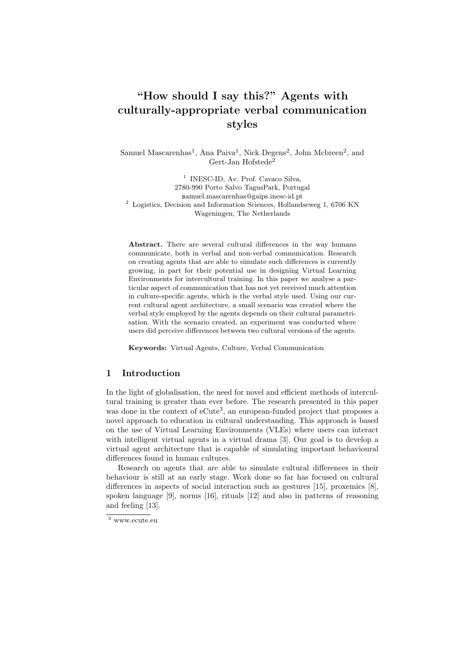# "How should I say this?" Agents with culturally-appropriate verbal communication styles

Samuel Mascarenhas<sup>1</sup>, Ana Paiva<sup>1</sup>, Nick Degens<sup>2</sup>, John Mcbreen<sup>2</sup>, and Gert-Jan Hofstede<sup>2</sup>

<sup>1</sup> INESC-ID, Av. Prof. Cavaco Silva, 2780-990 Porto Salvo TagusPark, Portugal samuel.mascarenhas@gaips.inesc-id.pt <sup>2</sup> Logistics, Decision and Information Sciences, Hollandseweg 1, 6706 KN Wageningen, The Netherlands

Abstract. There are several cultural differences in the way humans communicate, both in verbal and non-verbal communication. Research on creating agents that are able to simulate such differences is currently growing, in part for their potential use in designing Virtual Learning Environments for intercultural training. In this paper we analyse a particular aspect of communication that has not yet received much attention in culture-specific agents, which is the verbal style used. Using our current cultural agent architecture, a small scenario was created where the verbal style employed by the agents depends on their cultural parametrisation. With the scenario created, an experiment was conducted where users did perceive differences between two cultural versions of the agents.

Keywords: Virtual Agents, Culture, Verbal Communication

## 1 Introduction

In the light of globalisation, the need for novel and efficient methods of intercultural training is greater than ever before. The research presented in this paper was done in the context of  $eCute^3$ , an european-funded project that proposes a novel approach to education in cultural understanding. This approach is based on the use of Virtual Learning Environments (VLEs) where users can interact with intelligent virtual agents in a virtual drama [3]. Our goal is to develop a virtual agent architecture that is capable of simulating important behavioural differences found in human cultures.

Research on agents that are able to simulate cultural differences in their behaviour is still at an early stage. Work done so far has focused on cultural differences in aspects of social interaction such as gestures [15], proxemics [8], spoken language [9], norms [16], rituals [12] and also in patterns of reasoning and feeling [13].

<sup>3</sup> www.ecute.eu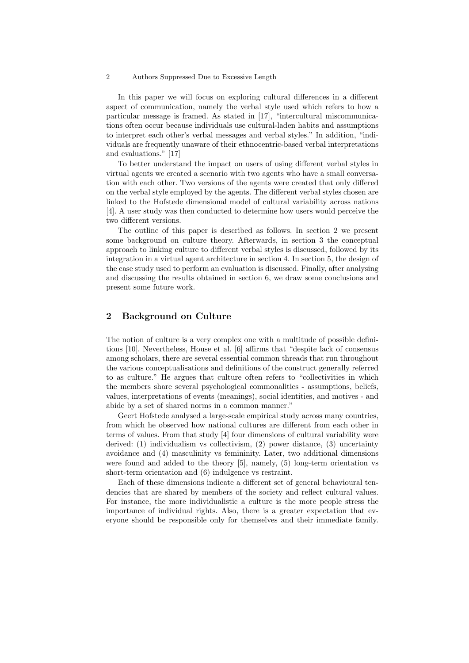In this paper we will focus on exploring cultural differences in a different aspect of communication, namely the verbal style used which refers to how a particular message is framed. As stated in [17], "intercultural miscommunications often occur because individuals use cultural-laden habits and assumptions to interpret each other's verbal messages and verbal styles." In addition, "individuals are frequently unaware of their ethnocentric-based verbal interpretations and evaluations." [17]

To better understand the impact on users of using different verbal styles in virtual agents we created a scenario with two agents who have a small conversation with each other. Two versions of the agents were created that only differed on the verbal style employed by the agents. The different verbal styles chosen are linked to the Hofstede dimensional model of cultural variability across nations [4]. A user study was then conducted to determine how users would perceive the two different versions.

The outline of this paper is described as follows. In section 2 we present some background on culture theory. Afterwards, in section 3 the conceptual approach to linking culture to different verbal styles is discussed, followed by its integration in a virtual agent architecture in section 4. In section 5, the design of the case study used to perform an evaluation is discussed. Finally, after analysing and discussing the results obtained in section 6, we draw some conclusions and present some future work.

# 2 Background on Culture

The notion of culture is a very complex one with a multitude of possible definitions [10]. Nevertheless, House et al. [6] affirms that "despite lack of consensus among scholars, there are several essential common threads that run throughout the various conceptualisations and definitions of the construct generally referred to as culture." He argues that culture often refers to "collectivities in which the members share several psychological commonalities - assumptions, beliefs, values, interpretations of events (meanings), social identities, and motives - and abide by a set of shared norms in a common manner."

Geert Hofstede analysed a large-scale empirical study across many countries, from which he observed how national cultures are different from each other in terms of values. From that study [4] four dimensions of cultural variability were derived: (1) individualism vs collectivism, (2) power distance, (3) uncertainty avoidance and (4) masculinity vs femininity. Later, two additional dimensions were found and added to the theory [5], namely, (5) long-term orientation vs short-term orientation and (6) indulgence vs restraint.

Each of these dimensions indicate a different set of general behavioural tendencies that are shared by members of the society and reflect cultural values. For instance, the more individualistic a culture is the more people stress the importance of individual rights. Also, there is a greater expectation that everyone should be responsible only for themselves and their immediate family.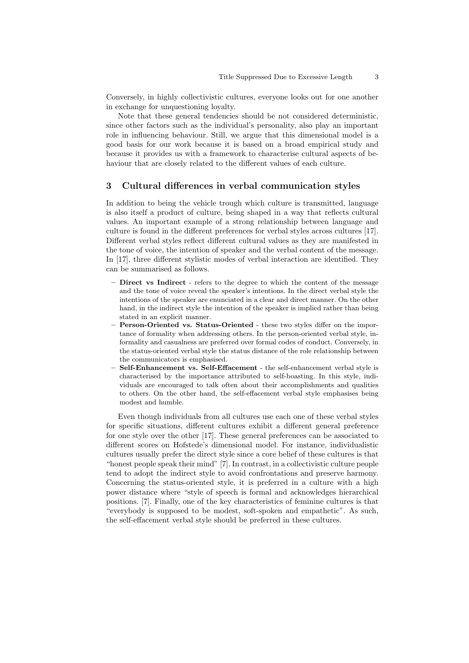Conversely, in highly collectivistic cultures, everyone looks out for one another in exchange for unquestioning loyalty.

Note that these general tendencies should be not considered deterministic, since other factors such as the individual's personality, also play an important role in influencing behaviour. Still, we argue that this dimensional model is a good basis for our work because it is based on a broad empirical study and because it provides us with a framework to characterise cultural aspects of behaviour that are closely related to the different values of each culture.

# 3 Cultural differences in verbal communication styles

In addition to being the vehicle trough which culture is transmitted, language is also itself a product of culture, being shaped in a way that reflects cultural values. An important example of a strong relationship between language and culture is found in the different preferences for verbal styles across cultures [17]. Different verbal styles reflect different cultural values as they are manifested in the tone of voice, the intention of speaker and the verbal content of the message. In [17], three different stylistic modes of verbal interaction are identified. They can be summarised as follows.

- Direct vs Indirect refers to the degree to which the content of the message and the tone of voice reveal the speaker's intentions. In the direct verbal style the intentions of the speaker are enunciated in a clear and direct manner. On the other hand, in the indirect style the intention of the speaker is implied rather than being stated in an explicit manner.
- Person-Oriented vs. Status-Oriented these two styles differ on the importance of formality when addressing others. In the person-oriented verbal style, informality and casualness are preferred over formal codes of conduct. Conversely, in the status-oriented verbal style the status distance of the role relationship between the communicators is emphasised.
- Self-Enhancement vs. Self-Effacement the self-enhancement verbal style is characterised by the importance attributed to self-boasting. In this style, individuals are encouraged to talk often about their accomplishments and qualities to others. On the other hand, the self-effacement verbal style emphasises being modest and humble.

Even though individuals from all cultures use each one of these verbal styles for specific situations, different cultures exhibit a different general preference for one style over the other [17]. These general preferences can be associated to different scores on Hofstede's dimensional model. For instance, individualistic cultures usually prefer the direct style since a core belief of these cultures is that "honest people speak their mind" [7]. In contrast, in a collectivistic culture people tend to adopt the indirect style to avoid confrontations and preserve harmony. Concerning the status-oriented style, it is preferred in a culture with a high power distance where "style of speech is formal and acknowledges hierarchical positions. [7]. Finally, one of the key characteristics of feminine cultures is that "everybody is supposed to be modest, soft-spoken and empathetic". As such, the self-effacement verbal style should be preferred in these cultures.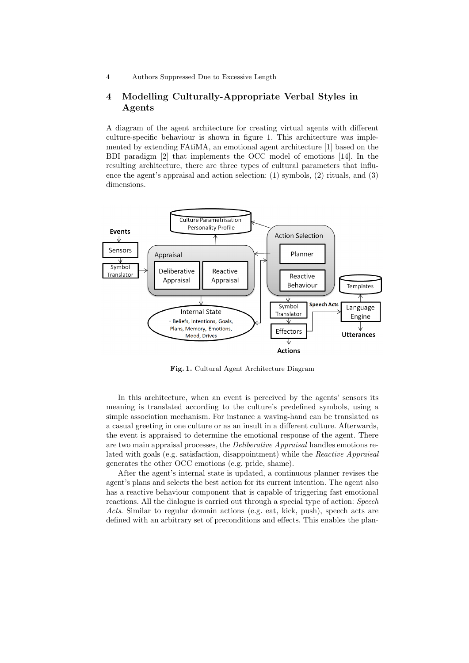# 4 Modelling Culturally-Appropriate Verbal Styles in Agents

A diagram of the agent architecture for creating virtual agents with different culture-specific behaviour is shown in figure 1. This architecture was implemented by extending FAtiMA, an emotional agent architecture [1] based on the BDI paradigm [2] that implements the OCC model of emotions [14]. In the resulting architecture, there are three types of cultural parameters that influence the agent's appraisal and action selection: (1) symbols, (2) rituals, and (3) dimensions.



Fig. 1. Cultural Agent Architecture Diagram

In this architecture, when an event is perceived by the agents' sensors its meaning is translated according to the culture's predefined symbols, using a simple association mechanism. For instance a waving-hand can be translated as a casual greeting in one culture or as an insult in a different culture. Afterwards, the event is appraised to determine the emotional response of the agent. There are two main appraisal processes, the Deliberative Appraisal handles emotions related with goals (e.g. satisfaction, disappointment) while the Reactive Appraisal generates the other OCC emotions (e.g. pride, shame).

After the agent's internal state is updated, a continuous planner revises the agent's plans and selects the best action for its current intention. The agent also has a reactive behaviour component that is capable of triggering fast emotional reactions. All the dialogue is carried out through a special type of action: Speech Acts. Similar to regular domain actions (e.g. eat, kick, push), speech acts are defined with an arbitrary set of preconditions and effects. This enables the plan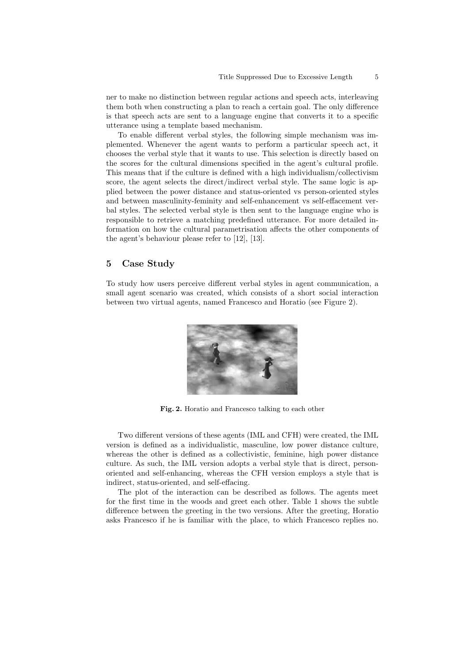ner to make no distinction between regular actions and speech acts, interleaving them both when constructing a plan to reach a certain goal. The only difference is that speech acts are sent to a language engine that converts it to a specific utterance using a template based mechanism.

To enable different verbal styles, the following simple mechanism was implemented. Whenever the agent wants to perform a particular speech act, it chooses the verbal style that it wants to use. This selection is directly based on the scores for the cultural dimensions specified in the agent's cultural profile. This means that if the culture is defined with a high individualism/collectivism score, the agent selects the direct/indirect verbal style. The same logic is applied between the power distance and status-oriented vs person-oriented styles and between masculinity-feminity and self-enhancement vs self-effacement verbal styles. The selected verbal style is then sent to the language engine who is responsible to retrieve a matching predefined utterance. For more detailed information on how the cultural parametrisation affects the other components of the agent's behaviour please refer to [12], [13].

### 5 Case Study

To study how users perceive different verbal styles in agent communication, a small agent scenario was created, which consists of a short social interaction between two virtual agents, named Francesco and Horatio (see Figure 2).



Fig. 2. Horatio and Francesco talking to each other

Two different versions of these agents (IML and CFH) were created, the IML version is defined as a individualistic, masculine, low power distance culture, whereas the other is defined as a collectivistic, feminine, high power distance culture. As such, the IML version adopts a verbal style that is direct, personoriented and self-enhancing, whereas the CFH version employs a style that is indirect, status-oriented, and self-effacing.

The plot of the interaction can be described as follows. The agents meet for the first time in the woods and greet each other. Table 1 shows the subtle difference between the greeting in the two versions. After the greeting, Horatio asks Francesco if he is familiar with the place, to which Francesco replies no.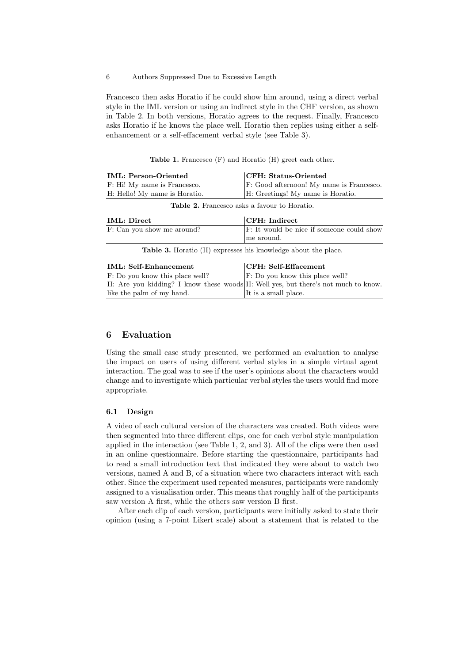Francesco then asks Horatio if he could show him around, using a direct verbal style in the IML version or using an indirect style in the CHF version, as shown in Table 2. In both versions, Horatio agrees to the request. Finally, Francesco asks Horatio if he knows the place well. Horatio then replies using either a selfenhancement or a self-effacement verbal style (see Table 3).

Table 1. Francesco (F) and Horatio (H) greet each other.

| <b>IML: Person-Oriented</b>   | <b>CFH: Status-Oriented</b>              |
|-------------------------------|------------------------------------------|
| F: Hi! My name is Francesco.  | F: Good afternoon! My name is Francesco. |
| H: Hello! My name is Horatio. | H: Greetings! My name is Horatio.        |

Table 2. Francesco asks a favour to Horatio.

| <b>IML:</b> Direct                                                   | $ $ CFH: Indirect                         |
|----------------------------------------------------------------------|-------------------------------------------|
| F: Can you show me around?                                           | F: It would be nice if someone could show |
|                                                                      | me around.                                |
| <b>Table 3.</b> Horatio (H) expresses his knowledge about the place. |                                           |

| IML: Self-Enhancement                                                             | CFH: Self-Effacement                        |
|-----------------------------------------------------------------------------------|---------------------------------------------|
| F: Do you know this place well?                                                   | $\mathbf{F}$ : Do you know this place well? |
| H: Are you kidding? I know these woods H: Well yes, but there's not much to know. |                                             |
| like the palm of my hand.                                                         | It is a small place.                        |

# 6 Evaluation

Using the small case study presented, we performed an evaluation to analyse the impact on users of using different verbal styles in a simple virtual agent interaction. The goal was to see if the user's opinions about the characters would change and to investigate which particular verbal styles the users would find more appropriate.

#### 6.1 Design

A video of each cultural version of the characters was created. Both videos were then segmented into three different clips, one for each verbal style manipulation applied in the interaction (see Table 1, 2, and 3). All of the clips were then used in an online questionnaire. Before starting the questionnaire, participants had to read a small introduction text that indicated they were about to watch two versions, named A and B, of a situation where two characters interact with each other. Since the experiment used repeated measures, participants were randomly assigned to a visualisation order. This means that roughly half of the participants saw version A first, while the others saw version B first.

After each clip of each version, participants were initially asked to state their opinion (using a 7-point Likert scale) about a statement that is related to the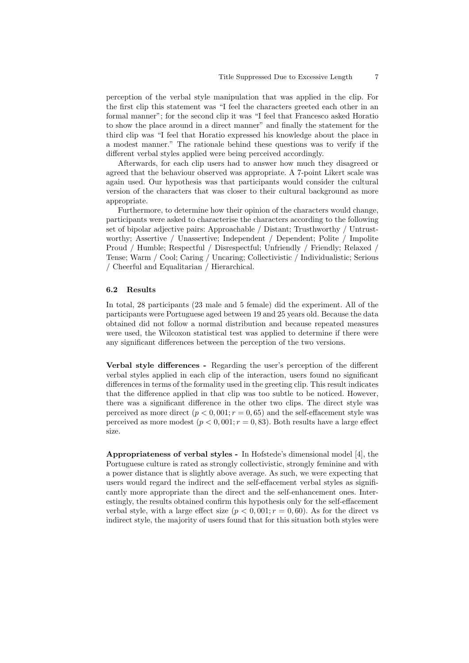perception of the verbal style manipulation that was applied in the clip. For the first clip this statement was "I feel the characters greeted each other in an formal manner"; for the second clip it was "I feel that Francesco asked Horatio to show the place around in a direct manner" and finally the statement for the third clip was "I feel that Horatio expressed his knowledge about the place in a modest manner." The rationale behind these questions was to verify if the different verbal styles applied were being perceived accordingly.

Afterwards, for each clip users had to answer how much they disagreed or agreed that the behaviour observed was appropriate. A 7-point Likert scale was again used. Our hypothesis was that participants would consider the cultural version of the characters that was closer to their cultural background as more appropriate.

Furthermore, to determine how their opinion of the characters would change, participants were asked to characterise the characters according to the following set of bipolar adjective pairs: Approachable / Distant; Trusthworthy / Untrustworthy; Assertive / Unassertive; Independent / Dependent; Polite / Impolite Proud / Humble; Respectful / Disrespectful; Unfriendly / Friendly; Relaxed / Tense; Warm / Cool; Caring / Uncaring; Collectivistic / Individualistic; Serious / Cheerful and Equalitarian / Hierarchical.

#### 6.2 Results

In total, 28 participants (23 male and 5 female) did the experiment. All of the participants were Portuguese aged between 19 and 25 years old. Because the data obtained did not follow a normal distribution and because repeated measures were used, the Wilcoxon statistical test was applied to determine if there were any significant differences between the perception of the two versions.

Verbal style differences - Regarding the user's perception of the different verbal styles applied in each clip of the interaction, users found no significant differences in terms of the formality used in the greeting clip. This result indicates that the difference applied in that clip was too subtle to be noticed. However, there was a significant difference in the other two clips. The direct style was perceived as more direct  $(p < 0, 001; r = 0, 65)$  and the self-effacement style was perceived as more modest  $(p < 0.001; r = 0.83)$ . Both results have a large effect size.

Appropriateness of verbal styles - In Hofstede's dimensional model [4], the Portuguese culture is rated as strongly collectivistic, strongly feminine and with a power distance that is slightly above average. As such, we were expecting that users would regard the indirect and the self-effacement verbal styles as significantly more appropriate than the direct and the self-enhancement ones. Interestingly, the results obtained confirm this hypothesis only for the self-effacement verbal style, with a large effect size  $(p < 0, 001; r = 0, 60)$ . As for the direct vs indirect style, the majority of users found that for this situation both styles were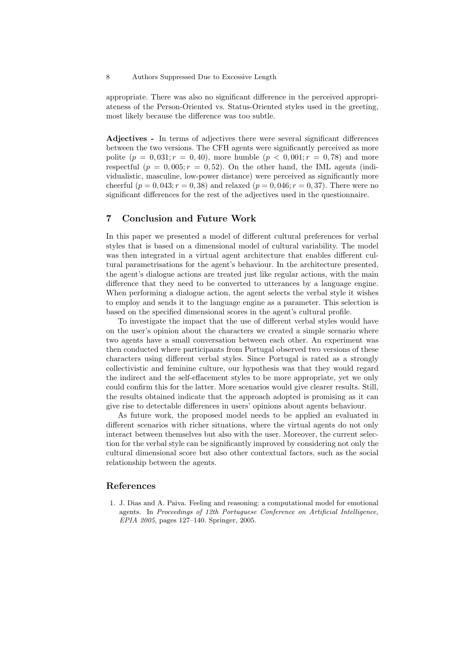appropriate. There was also no significant difference in the perceived appropriateness of the Person-Oriented vs. Status-Oriented styles used in the greeting, most likely because the difference was too subtle.

Adjectives - In terms of adjectives there were several significant differences between the two versions. The CFH agents were significantly perceived as more polite  $(p = 0, 031; r = 0, 40)$ , more humble  $(p < 0, 001; r = 0, 78)$  and more respectful  $(p = 0,005; r = 0,52)$ . On the other hand, the IML agents (individualistic, masculine, low-power distance) were perceived as significantly more cheerful  $(p = 0, 043; r = 0, 38)$  and relaxed  $(p = 0, 046; r = 0, 37)$ . There were no significant differences for the rest of the adjectives used in the questionnaire.

# 7 Conclusion and Future Work

In this paper we presented a model of different cultural preferences for verbal styles that is based on a dimensional model of cultural variability. The model was then integrated in a virtual agent architecture that enables different cultural parametrisations for the agent's behaviour. In the architecture presented, the agent's dialogue actions are treated just like regular actions, with the main difference that they need to be converted to utterances by a language engine. When performing a dialogue action, the agent selects the verbal style it wishes to employ and sends it to the language engine as a parameter. This selection is based on the specified dimensional scores in the agent's cultural profile.

To investigate the impact that the use of different verbal styles would have on the user's opinion about the characters we created a simple scenario where two agents have a small conversation between each other. An experiment was then conducted where participants from Portugal observed two versions of these characters using different verbal styles. Since Portugal is rated as a strongly collectivistic and feminine culture, our hypothesis was that they would regard the indirect and the self-effacement styles to be more appropriate, yet we only could confirm this for the latter. More scenarios would give clearer results. Still, the results obtained indicate that the approach adopted is promising as it can give rise to detectable differences in users' opinions about agents behaviour.

As future work, the proposed model needs to be applied an evaluated in different scenarios with richer situations, where the virtual agents do not only interact between themselves but also with the user. Moreover, the current selection for the verbal style can be significantly improved by considering not only the cultural dimensional score but also other contextual factors, such as the social relationship between the agents.

# References

1. J. Dias and A. Paiva. Feeling and reasoning: a computational model for emotional agents. In Proceedings of 12th Portuguese Conference on Artificial Intelligence, EPIA 2005, pages 127–140. Springer, 2005.